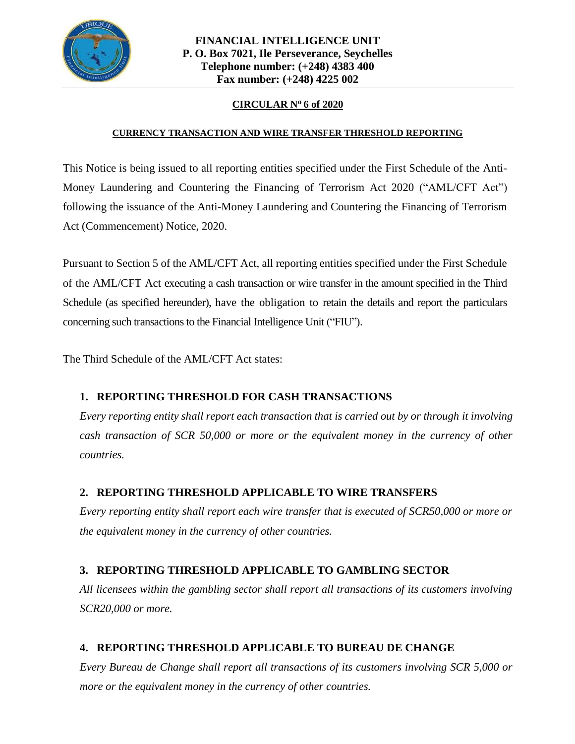

#### **CIRCULAR No 6 of 2020**

#### **CURRENCY TRANSACTION AND WIRE TRANSFER THRESHOLD REPORTING**

This Notice is being issued to all reporting entities specified under the First Schedule of the Anti-Money Laundering and Countering the Financing of Terrorism Act 2020 ("AML/CFT Act") following the issuance of the Anti-Money Laundering and Countering the Financing of Terrorism Act (Commencement) Notice, 2020.

Pursuant to Section 5 of the AML/CFT Act, all reporting entities specified under the First Schedule of the AML/CFT Act executing a cash transaction or wire transfer in the amount specified in the Third Schedule (as specified hereunder), have the obligation to retain the details and report the particulars concerning such transactions to the Financial Intelligence Unit ("FIU").

The Third Schedule of the AML/CFT Act states:

## **1. REPORTING THRESHOLD FOR CASH TRANSACTIONS**

*Every reporting entity shall report each transaction that is carried out by or through it involving cash transaction of SCR 50,000 or more or the equivalent money in the currency of other countries.*

## **2. REPORTING THRESHOLD APPLICABLE TO WIRE TRANSFERS**

*Every reporting entity shall report each wire transfer that is executed of SCR50,000 or more or the equivalent money in the currency of other countries.*

# **3. REPORTING THRESHOLD APPLICABLE TO GAMBLING SECTOR**

*All licensees within the gambling sector shall report all transactions of its customers involving SCR20,000 or more.*

# **4. REPORTING THRESHOLD APPLICABLE TO BUREAU DE CHANGE**

*Every Bureau de Change shall report all transactions of its customers involving SCR 5,000 or more or the equivalent money in the currency of other countries.*